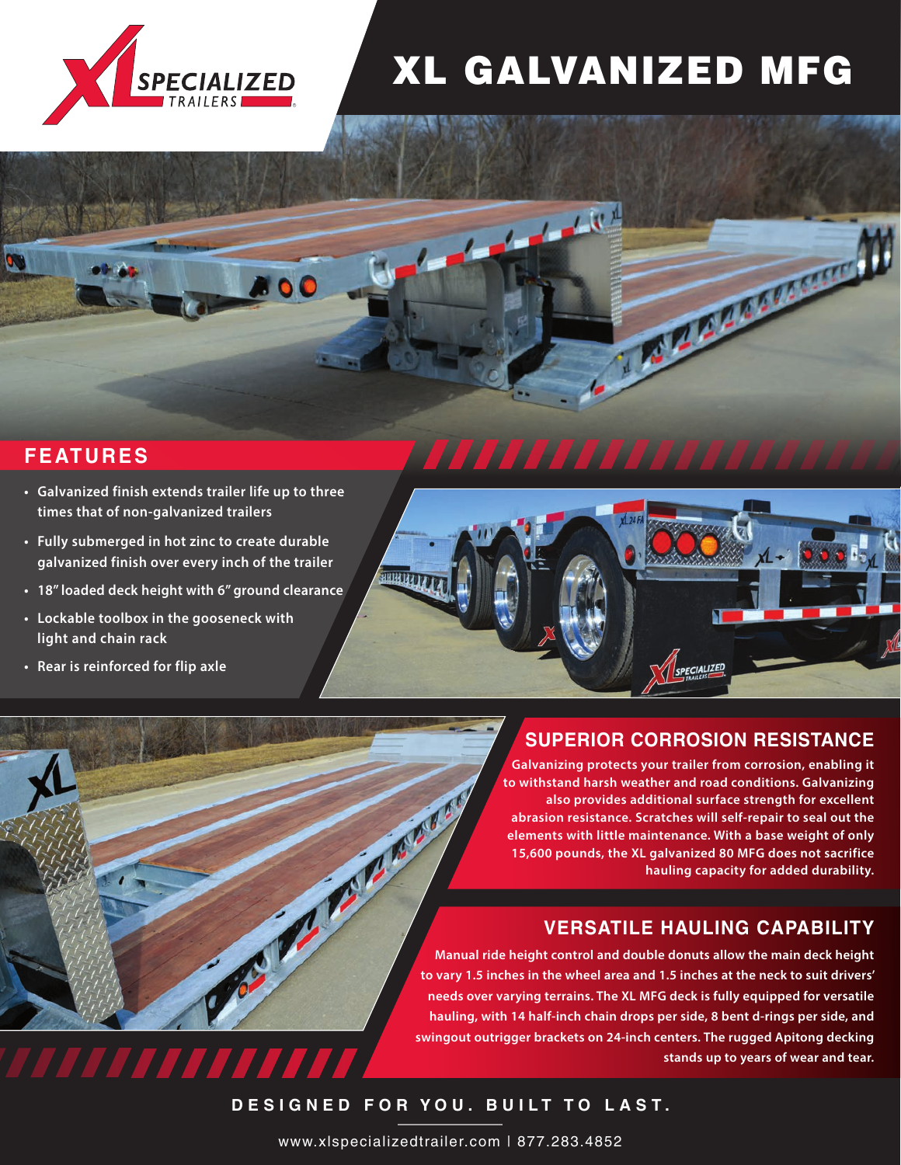

# XL GALVANIZED MFG

 $\mathcal{L}^{(n)}$ 

## **FEATURES**

П

**• Galvanized finish extends trailer life up to three times that of non-galvanized trailers**

n

- **• Fully submerged in hot zinc to create durable galvanized finish over every inch of the trailer**
- **• 18" loaded deck height with 6" ground clearance**

**trailer behind the truck at all times; the kingpin rotates and prompts the axles to track with it. An overall with it. drivers to take full control as needed.** 

- **• Lockable toolbox in the gooseneck with light and chain rack**
- **• Rear is reinforced for flip axle**



 $\tau_{\rm L}$ 

## **SUPERIOR CORROSION RESISTANCE**

**MARKETTE MI** 

**The tail is comprised of two sections – Galvanizing protects your trailer from corrosion, enabling it an 8-foot 8-inch platform ramp and a to withstand harsh weather and road conditions. Galvanizing 60-inch flip tail. Both hinge points stay clean thanks abrasion resistance. Scratches will self-repair to seal out the elements with little maintenance. With a base weight of only accumulating. 15,600 pounds, the XL galvanized 80 MFG does not sacrifice also provides additional surface strength for excellent hauling capacity for added durability.**

## **VERSATILE HAULING CAPABILITY**

**Manual ride height control and double donuts allow the main deck height to vary 1.5 inches in the wheel area and 1.5 inches at the neck to suit drivers' needs over varying terrains. The XL MFG deck is fully equipped for versatile hauling, with 14 half-inch chain drops per side, 8 bent d-rings per side, and swingout outrigger brackets on 24-inch centers. The rugged Apitong decking stands up to years of wear and tear.** 

**DESIGNED FOR YOU. BUILT TO LAST.**

**A. R. R. R. R.** 

www.xlspecializedtrailer.com | 877.283.4852